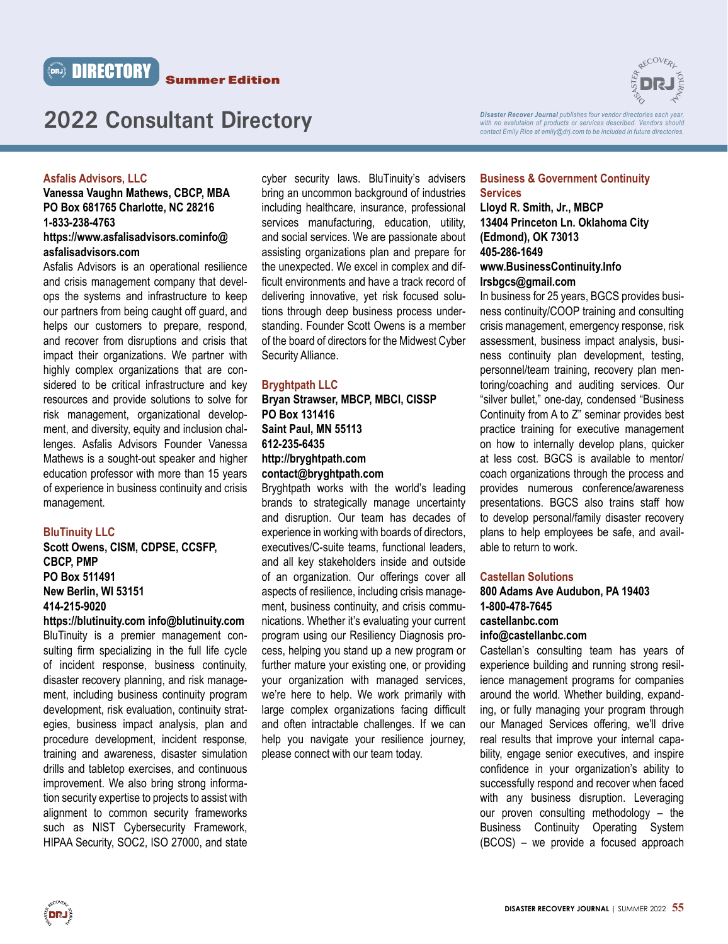



*Disaster Recover Journal publishes four vendor directories each year, with no evalutaion of products or services described. Vendors should contact Emily Rice at emily@drj.com to be included in future directories.*

#### **Asfalis Advisors, LLC**

# **Vanessa Vaughn Mathews, CBCP, MBA PO Box 681765 Charlotte, NC 28216 1-833-238-4763 https://www.asfalisadvisors.cominfo@ asfalisadvisors.com**

Asfalis Advisors is an operational resilience and crisis management company that develops the systems and infrastructure to keep our partners from being caught off guard, and helps our customers to prepare, respond, and recover from disruptions and crisis that impact their organizations. We partner with highly complex organizations that are considered to be critical infrastructure and key resources and provide solutions to solve for risk management, organizational development, and diversity, equity and inclusion challenges. Asfalis Advisors Founder Vanessa Mathews is a sought-out speaker and higher education professor with more than 15 years of experience in business continuity and crisis management.

#### **BluTinuity LLC**

# **Scott Owens, CISM, CDPSE, CCSFP, CBCP, PMP PO Box 511491 New Berlin, WI 53151 414-215-9020**

**https://blutinuity.com info@blutinuity.com**  BluTinuity is a premier management consulting firm specializing in the full life cycle of incident response, business continuity, disaster recovery planning, and risk management, including business continuity program development, risk evaluation, continuity strategies, business impact analysis, plan and procedure development, incident response, training and awareness, disaster simulation drills and tabletop exercises, and continuous improvement. We also bring strong information security expertise to projects to assist with alignment to common security frameworks such as NIST Cybersecurity Framework, HIPAA Security, SOC2, ISO 27000, and state

cyber security laws. BluTinuity's advisers bring an uncommon background of industries including healthcare, insurance, professional services manufacturing, education, utility, and social services. We are passionate about assisting organizations plan and prepare for the unexpected. We excel in complex and difficult environments and have a track record of delivering innovative, yet risk focused solutions through deep business process understanding. Founder Scott Owens is a member of the board of directors for the Midwest Cyber Security Alliance.

#### **Bryghtpath LLC**

# **Bryan Strawser, MBCP, MBCI, CISSP PO Box 131416 Saint Paul, MN 55113 612-235-6435 http://bryghtpath.com contact@bryghtpath.com**

Bryghtpath works with the world's leading brands to strategically manage uncertainty and disruption. Our team has decades of experience in working with boards of directors, executives/C-suite teams, functional leaders, and all key stakeholders inside and outside of an organization. Our offerings cover all aspects of resilience, including crisis management, business continuity, and crisis communications. Whether it's evaluating your current program using our Resiliency Diagnosis process, helping you stand up a new program or further mature your existing one, or providing your organization with managed services, we're here to help. We work primarily with large complex organizations facing difficult and often intractable challenges. If we can help you navigate your resilience journey, please connect with our team today.

#### **Business & Government Continuity Services**

# **Lloyd R. Smith, Jr., MBCP 13404 Princeton Ln. Oklahoma City (Edmond), OK 73013 405-286-1649 www.BusinessContinuity.Info**

#### **lrsbgcs@gmail.com**

In business for 25 years, BGCS provides business continuity/COOP training and consulting crisis management, emergency response, risk assessment, business impact analysis, business continuity plan development, testing, personnel/team training, recovery plan mentoring/coaching and auditing services. Our "silver bullet," one-day, condensed "Business Continuity from A to Z" seminar provides best practice training for executive management on how to internally develop plans, quicker at less cost. BGCS is available to mentor/ coach organizations through the process and provides numerous conference/awareness presentations. BGCS also trains staff how to develop personal/family disaster recovery plans to help employees be safe, and available to return to work.

#### **Castellan Solutions**

# **800 Adams Ave Audubon, PA 19403 1-800-478-7645 castellanbc.com**

# **info@castellanbc.com**

Castellan's consulting team has years of experience building and running strong resilience management programs for companies around the world. Whether building, expanding, or fully managing your program through our Managed Services offering, we'll drive real results that improve your internal capability, engage senior executives, and inspire confidence in your organization's ability to successfully respond and recover when faced with any business disruption. Leveraging our proven consulting methodology – the Business Continuity Operating System (BCOS) – we provide a focused approach

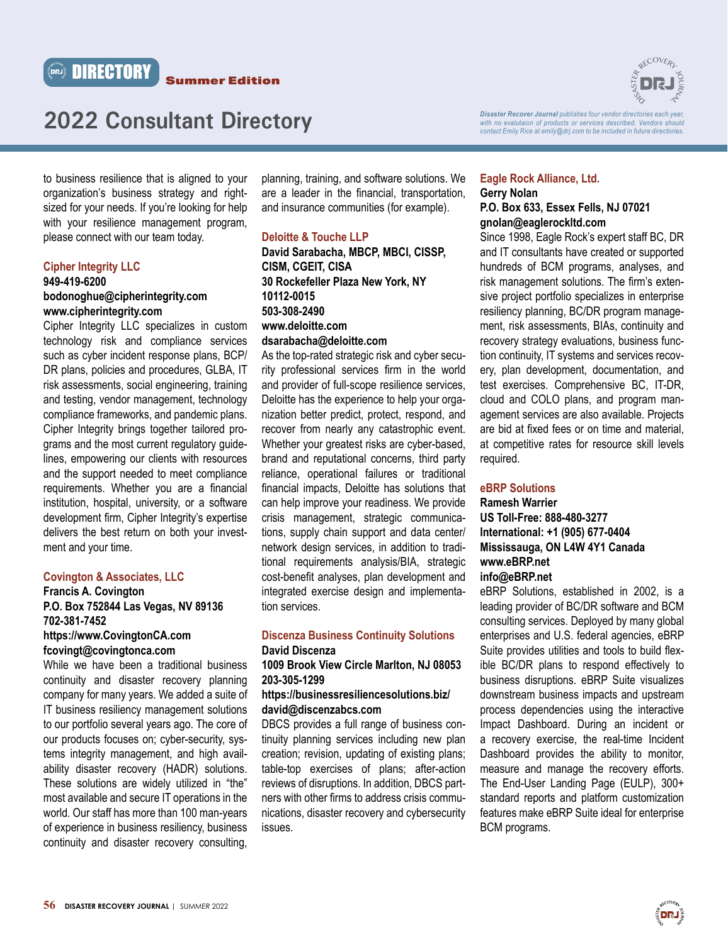



*Disaster Recover Journal publishes four vendor directories each year,*  with no evalutaion of products or services described. Vendors should *contact Emily Rice at emily@drj.com to be included in future directories.*

to business resilience that is aligned to your organization's business strategy and rightsized for your needs. If you're looking for help with your resilience management program, please connect with our team today.

# **Cipher Integrity LLC 949-419-6200 bodonoghue@cipherintegrity.com**

# **www.cipherintegrity.com** Cipher Integrity LLC specializes in custom technology risk and compliance services such as cyber incident response plans, BCP/ DR plans, policies and procedures, GLBA, IT risk assessments, social engineering, training and testing, vendor management, technology compliance frameworks, and pandemic plans. Cipher Integrity brings together tailored programs and the most current regulatory guidelines, empowering our clients with resources and the support needed to meet compliance requirements. Whether you are a financial institution, hospital, university, or a software development firm, Cipher Integrity's expertise delivers the best return on both your investment and your time.

## **Covington & Associates, LLC**

# **Francis A. Covington P.O. Box 752844 Las Vegas, NV 89136 702-381-7452 https://www.CovingtonCA.com fcovingt@covingtonca.com**

While we have been a traditional business continuity and disaster recovery planning company for many years. We added a suite of IT business resiliency management solutions to our portfolio several years ago. The core of our products focuses on; cyber-security, systems integrity management, and high availability disaster recovery (HADR) solutions. These solutions are widely utilized in "the" most available and secure IT operations in the world. Our staff has more than 100 man-years of experience in business resiliency, business continuity and disaster recovery consulting,

planning, training, and software solutions. We are a leader in the financial, transportation, and insurance communities (for example).

# **Deloitte & Touche LLP**

**David Sarabacha, MBCP, MBCI, CISSP, CISM, CGEIT, CISA 30 Rockefeller Plaza New York, NY 10112-0015 503-308-2490 www.deloitte.com dsarabacha@deloitte.com** 

As the top-rated strategic risk and cyber security professional services firm in the world and provider of full-scope resilience services, Deloitte has the experience to help your organization better predict, protect, respond, and recover from nearly any catastrophic event. Whether your greatest risks are cyber-based, brand and reputational concerns, third party reliance, operational failures or traditional financial impacts, Deloitte has solutions that can help improve your readiness. We provide crisis management, strategic communications, supply chain support and data center/ network design services, in addition to traditional requirements analysis/BIA, strategic cost-benefit analyses, plan development and integrated exercise design and implementation services.

# **Discenza Business Continuity Solutions David Discenza**

# **1009 Brook View Circle Marlton, NJ 08053 203-305-1299**

# **https://businessresiliencesolutions.biz/ david@discenzabcs.com**

DBCS provides a full range of business continuity planning services including new plan creation; revision, updating of existing plans; table-top exercises of plans; after-action reviews of disruptions. In addition, DBCS partners with other firms to address crisis communications, disaster recovery and cybersecurity issues.

#### **Eagle Rock Alliance, Ltd. Gerry Nolan P.O. Box 633, Essex Fells, NJ 07021**

# **gnolan@eaglerockltd.com**

Since 1998, Eagle Rock's expert staff BC, DR and IT consultants have created or supported hundreds of BCM programs, analyses, and risk management solutions. The firm's extensive project portfolio specializes in enterprise resiliency planning, BC/DR program management, risk assessments, BIAs, continuity and recovery strategy evaluations, business function continuity, IT systems and services recovery, plan development, documentation, and test exercises. Comprehensive BC, IT-DR, cloud and COLO plans, and program management services are also available. Projects are bid at fixed fees or on time and material, at competitive rates for resource skill levels required.

## **eBRP Solutions**

# **Ramesh Warrier US Toll-Free: 888-480-3277 International: +1 (905) 677-0404 Mississauga, ON L4W 4Y1 Canada www.eBRP.net**

# **info@eBRP.net**

eBRP Solutions, established in 2002, is a leading provider of BC/DR software and BCM consulting services. Deployed by many global enterprises and U.S. federal agencies, eBRP Suite provides utilities and tools to build flexible BC/DR plans to respond effectively to business disruptions. eBRP Suite visualizes downstream business impacts and upstream process dependencies using the interactive Impact Dashboard. During an incident or a recovery exercise, the real-time Incident Dashboard provides the ability to monitor, measure and manage the recovery efforts. The End-User Landing Page (EULP), 300+ standard reports and platform customization features make eBRP Suite ideal for enterprise BCM programs.

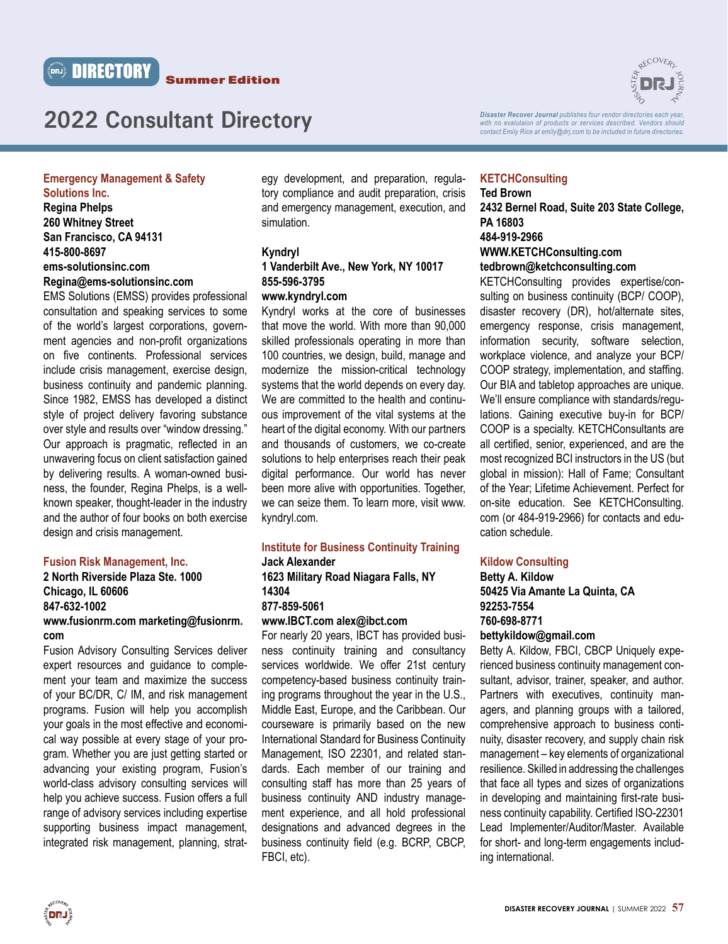



*Disaster Recover Journal publishes four vendor directories each year, with no evalutaion of products or services described. Vendors should contact Emily Rice at emily@drj.com to be included in future directories.*

# **Emergency Management & Safety**

**Solutions Inc. Regina Phelps 260 Whitney Street San Francisco, CA 94131 415-800-8697 ems-solutionsinc.com Regina@ems-solutionsinc.com**

EMS Solutions (EMSS) provides professional consultation and speaking services to some of the world's largest corporations, government agencies and non-profit organizations on five continents. Professional services include crisis management, exercise design, business continuity and pandemic planning. Since 1982, EMSS has developed a distinct style of project delivery favoring substance over style and results over "window dressing." Our approach is pragmatic, reflected in an unwavering focus on client satisfaction gained by delivering results. A woman-owned business, the founder, Regina Phelps, is a wellknown speaker, thought-leader in the industry and the author of four books on both exercise design and crisis management.

## **Fusion Risk Management, Inc.**

## **2 North Riverside Plaza Ste. 1000 Chicago, IL 60606 847-632-1002**

#### **www.fusionrm.com marketing@fusionrm. com**

Fusion Advisory Consulting Services deliver expert resources and guidance to complement your team and maximize the success of your BC/DR, C/ IM, and risk management programs. Fusion will help you accomplish your goals in the most effective and economical way possible at every stage of your program. Whether you are just getting started or advancing your existing program, Fusion's world-class advisory consulting services will help you achieve success. Fusion offers a full range of advisory services including expertise supporting business impact management, integrated risk management, planning, strategy development, and preparation, regulatory compliance and audit preparation, crisis and emergency management, execution, and simulation.

#### **Kyndryl**

# **1 Vanderbilt Ave., New York, NY 10017 855-596-3795**

### **www.kyndryl.com**

Kyndryl works at the core of businesses that move the world. With more than 90,000 skilled professionals operating in more than 100 countries, we design, build, manage and modernize the mission-critical technology systems that the world depends on every day. We are committed to the health and continuous improvement of the vital systems at the heart of the digital economy. With our partners and thousands of customers, we co-create solutions to help enterprises reach their peak digital performance. Our world has never been more alive with opportunities. Together, we can seize them. To learn more, visit www. kyndryl.com.

#### **Institute for Business Continuity Training Jack Alexander**

**1623 Military Road Niagara Falls, NY 14304 877-859-5061** 

# **www.IBCT.com alex@ibct.com**

For nearly 20 years, IBCT has provided business continuity training and consultancy services worldwide. We offer 21st century competency-based business continuity training programs throughout the year in the U.S., Middle East, Europe, and the Caribbean. Our courseware is primarily based on the new International Standard for Business Continuity Management, ISO 22301, and related standards. Each member of our training and consulting staff has more than 25 years of business continuity AND industry management experience, and all hold professional designations and advanced degrees in the business continuity field (e.g. BCRP, CBCP, FBCI, etc).

# **KETCHConsulting**

**Ted Brown 2432 Bernel Road, Suite 203 State College, PA 16803 484-919-2966 WWW.KETCHConsulting.com tedbrown@ketchconsulting.com** 

KETCHConsulting provides expertise/consulting on business continuity (BCP/ COOP), disaster recovery (DR), hot/alternate sites, emergency response, crisis management, information security, software selection, workplace violence, and analyze your BCP/ COOP strategy, implementation, and staffing. Our BIA and tabletop approaches are unique. We'll ensure compliance with standards/regulations. Gaining executive buy-in for BCP/ COOP is a specialty. KETCHConsultants are all certified, senior, experienced, and are the most recognized BCI instructors in the US (but global in mission): Hall of Fame; Consultant of the Year; Lifetime Achievement. Perfect for on-site education. See KETCHConsulting. com (or 484-919-2966) for contacts and education schedule.

#### **Kildow Consulting**

# **Betty A. Kildow 50425 Via Amante La Quinta, CA 92253-7554 760-698-8771**

# **bettykildow@gmail.com**

Betty A. Kildow, FBCI, CBCP Uniquely experienced business continuity management consultant, advisor, trainer, speaker, and author. Partners with executives, continuity managers, and planning groups with a tailored, comprehensive approach to business continuity, disaster recovery, and supply chain risk management – key elements of organizational resilience. Skilled in addressing the challenges that face all types and sizes of organizations in developing and maintaining first-rate business continuity capability. Certified ISO-22301 Lead Implementer/Auditor/Master. Available for short- and long-term engagements including international.

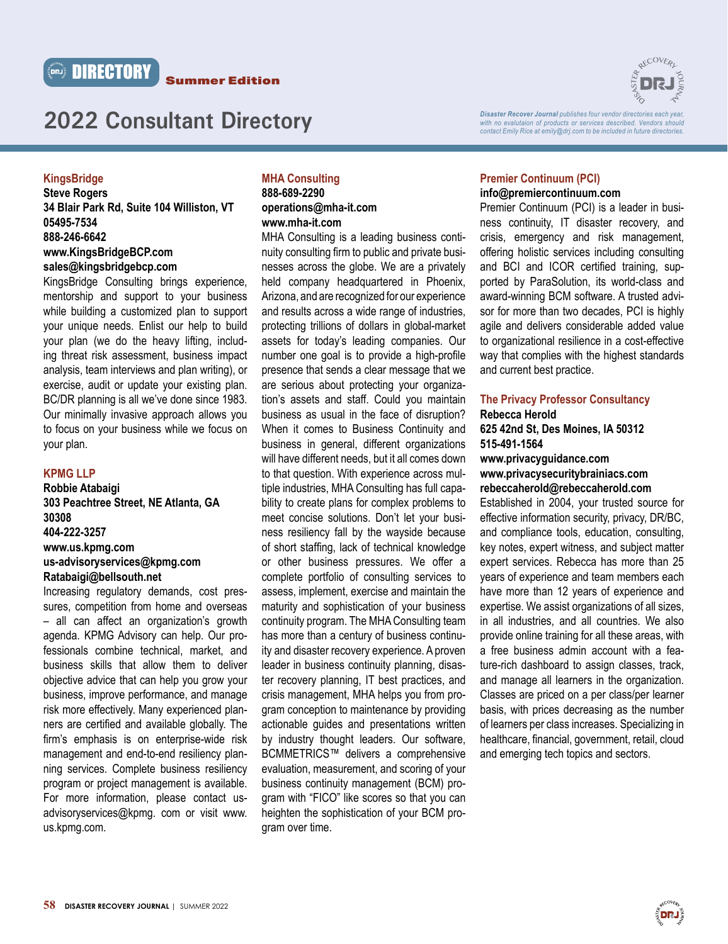



# **KingsBridge**

**Steve Rogers 34 Blair Park Rd, Suite 104 Williston, VT 05495-7534 888-246-6642 www.KingsBridgeBCP.com sales@kingsbridgebcp.com** 

KingsBridge Consulting brings experience, mentorship and support to your business while building a customized plan to support your unique needs. Enlist our help to build your plan (we do the heavy lifting, including threat risk assessment, business impact analysis, team interviews and plan writing), or exercise, audit or update your existing plan. BC/DR planning is all we've done since 1983. Our minimally invasive approach allows you to focus on your business while we focus on your plan.

### **KPMG LLP**

**Robbie Atabaigi 303 Peachtree Street, NE Atlanta, GA 30308 404-222-3257 www.us.kpmg.com us-advisoryservices@kpmg.com Ratabaigi@bellsouth.net**

Increasing regulatory demands, cost pressures, competition from home and overseas – all can affect an organization's growth agenda. KPMG Advisory can help. Our professionals combine technical, market, and business skills that allow them to deliver objective advice that can help you grow your business, improve performance, and manage risk more effectively. Many experienced planners are certified and available globally. The firm's emphasis is on enterprise-wide risk management and end-to-end resiliency planning services. Complete business resiliency program or project management is available. For more information, please contact usadvisoryservices@kpmg. com or visit www. us.kpmg.com.

## **MHA Consulting 888-689-2290 operations@mha-it.com www.mha-it.com**

MHA Consulting is a leading business continuity consulting firm to public and private businesses across the globe. We are a privately held company headquartered in Phoenix, Arizona, and are recognized for our experience and results across a wide range of industries, protecting trillions of dollars in global-market assets for today's leading companies. Our number one goal is to provide a high-profile presence that sends a clear message that we are serious about protecting your organization's assets and staff. Could you maintain business as usual in the face of disruption? When it comes to Business Continuity and business in general, different organizations will have different needs, but it all comes down to that question. With experience across multiple industries, MHA Consulting has full capability to create plans for complex problems to meet concise solutions. Don't let your business resiliency fall by the wayside because of short staffing, lack of technical knowledge or other business pressures. We offer a complete portfolio of consulting services to assess, implement, exercise and maintain the maturity and sophistication of your business continuity program. The MHA Consulting team has more than a century of business continuity and disaster recovery experience. A proven leader in business continuity planning, disaster recovery planning, IT best practices, and crisis management, MHA helps you from program conception to maintenance by providing actionable guides and presentations written by industry thought leaders. Our software, BCMMETRICS™ delivers a comprehensive evaluation, measurement, and scoring of your business continuity management (BCM) program with "FICO" like scores so that you can heighten the sophistication of your BCM program over time.



*Disaster Recover Journal publishes four vendor directories each year,*  with no evalutaion of products or services described. Vendors should *contact Emily Rice at emily@drj.com to be included in future directories.*

#### **Premier Continuum (PCI) info@premiercontinuum.com**

Premier Continuum (PCI) is a leader in business continuity, IT disaster recovery, and crisis, emergency and risk management, offering holistic services including consulting and BCI and ICOR certified training, supported by ParaSolution, its world-class and award-winning BCM software. A trusted advisor for more than two decades, PCI is highly agile and delivers considerable added value to organizational resilience in a cost-effective way that complies with the highest standards and current best practice.

# **The Privacy Professor Consultancy**

**Rebecca Herold**

**625 42nd St, Des Moines, IA 50312 515-491-1564**

**www.privacyguidance.com www.privacysecuritybrainiacs.com rebeccaherold@rebeccaherold.com**

Established in 2004, your trusted source for effective information security, privacy, DR/BC, and compliance tools, education, consulting, key notes, expert witness, and subject matter expert services. Rebecca has more than 25 years of experience and team members each have more than 12 years of experience and expertise. We assist organizations of all sizes, in all industries, and all countries. We also provide online training for all these areas, with a free business admin account with a feature-rich dashboard to assign classes, track, and manage all learners in the organization. Classes are priced on a per class/per learner basis, with prices decreasing as the number of learners per class increases. Specializing in healthcare, financial, government, retail, cloud and emerging tech topics and sectors.

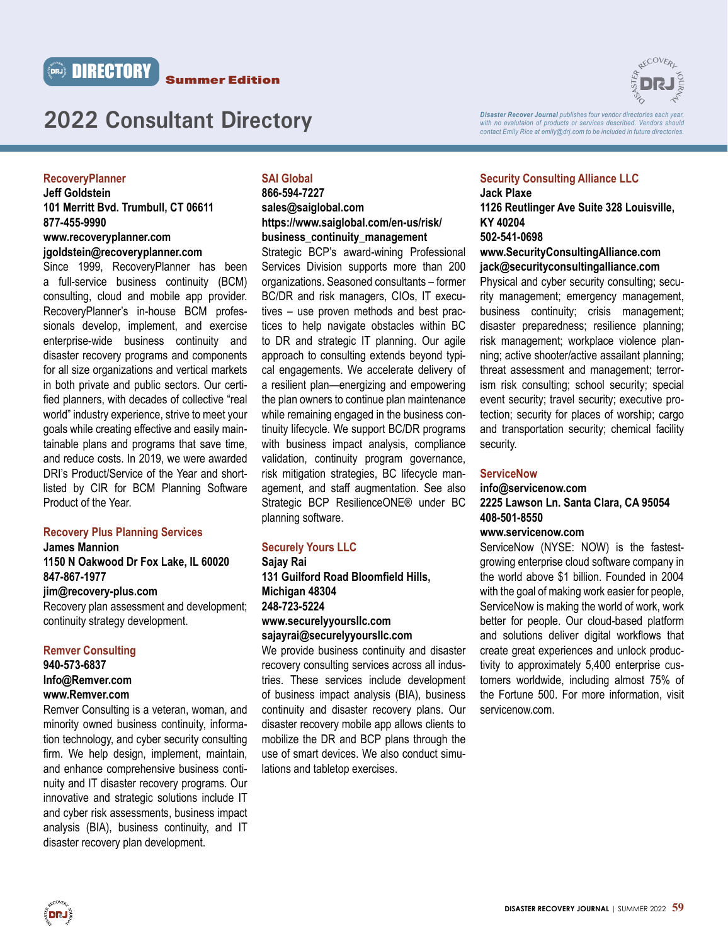



*Disaster Recover Journal publishes four vendor directories each year, with no evalutaion of products or services described. Vendors should* 

**RECOVERL** 

# **RecoveryPlanner**

**Jeff Goldstein 101 Merritt Bvd. Trumbull, CT 06611 877-455-9990 www.recoveryplanner.com** 

# **jgoldstein@recoveryplanner.com**

Since 1999, RecoveryPlanner has been a full-service business continuity (BCM) consulting, cloud and mobile app provider. RecoveryPlanner's in-house BCM professionals develop, implement, and exercise enterprise-wide business continuity and disaster recovery programs and components for all size organizations and vertical markets in both private and public sectors. Our certified planners, with decades of collective "real world" industry experience, strive to meet your goals while creating effective and easily maintainable plans and programs that save time, and reduce costs. In 2019, we were awarded DRI's Product/Service of the Year and shortlisted by CIR for BCM Planning Software Product of the Year.

# **Recovery Plus Planning Services**

**James Mannion** 

#### **1150 N Oakwood Dr Fox Lake, IL 60020 847-867-1977**

#### **jim@recovery-plus.com**

Recovery plan assessment and development; continuity strategy development.

# **Remver Consulting 940-573-6837 Info@Remver.com**

**www.Remver.com**

Remver Consulting is a veteran, woman, and minority owned business continuity, information technology, and cyber security consulting firm. We help design, implement, maintain, and enhance comprehensive business continuity and IT disaster recovery programs. Our innovative and strategic solutions include IT and cyber risk assessments, business impact analysis (BIA), business continuity, and IT disaster recovery plan development.

# **SAI Global 866-594-7227**

# **sales@saiglobal.com https://www.saiglobal.com/en-us/risk/ business\_continuity\_management**

Strategic BCP's award-wining Professional Services Division supports more than 200 organizations. Seasoned consultants – former BC/DR and risk managers, CIOs, IT executives – use proven methods and best practices to help navigate obstacles within BC to DR and strategic IT planning. Our agile approach to consulting extends beyond typical engagements. We accelerate delivery of a resilient plan—energizing and empowering the plan owners to continue plan maintenance while remaining engaged in the business continuity lifecycle. We support BC/DR programs with business impact analysis, compliance validation, continuity program governance, risk mitigation strategies, BC lifecycle management, and staff augmentation. See also Strategic BCP ResilienceONE® under BC planning software.

# **Securely Yours LLC**

**Sajay Rai 131 Guilford Road Bloomfield Hills, Michigan 48304 248-723-5224 www.securelyyoursllc.com** 

# **sajayrai@securelyyoursllc.com**

We provide business continuity and disaster recovery consulting services across all industries. These services include development of business impact analysis (BIA), business continuity and disaster recovery plans. Our disaster recovery mobile app allows clients to mobilize the DR and BCP plans through the use of smart devices. We also conduct simulations and tabletop exercises.

#### **Security Consulting Alliance LLC Jack Plaxe**

### **1126 Reutlinger Ave Suite 328 Louisville, KY 40204 502-541-0698**

*contact Emily Rice at emily@drj.com to be included in future directories.*

#### **www.SecurityConsultingAlliance.com jack@securityconsultingalliance.com**

Physical and cyber security consulting; security management; emergency management, business continuity; crisis management; disaster preparedness; resilience planning; risk management; workplace violence planning; active shooter/active assailant planning; threat assessment and management; terrorism risk consulting; school security; special event security; travel security; executive protection; security for places of worship; cargo and transportation security; chemical facility security.

#### **ServiceNow**

#### **info@servicenow.com 2225 Lawson Ln. Santa Clara, CA 95054 408-501-8550**

#### **www.servicenow.com**

ServiceNow (NYSE: NOW) is the fastestgrowing enterprise cloud software company in the world above \$1 billion. Founded in 2004 with the goal of making work easier for people, ServiceNow is making the world of work, work better for people. Our cloud-based platform and solutions deliver digital workflows that create great experiences and unlock productivity to approximately 5,400 enterprise customers worldwide, including almost 75% of the Fortune 500. For more information, visit servicenow.com.